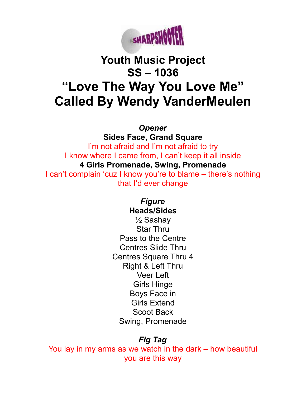

## **Youth Music Project SS – 1036 "Love The Way You Love Me" Called By Wendy VanderMeulen**

*Opener*

**Sides Face, Grand Square** I'm not afraid and I'm not afraid to try I know where I came from, I can't keep it all inside **4 Girls Promenade, Swing, Promenade** I can't complain 'cuz I know you're to blame – there's nothing that I'd ever change

## *Figure* **Heads/Sides**

½ Sashay Star Thru Pass to the Centre Centres Slide Thru Centres Square Thru 4 Right & Left Thru Veer Left Girls Hinge Boys Face in Girls Extend Scoot Back Swing, Promenade

## *Fig Tag*

You lay in my arms as we watch in the dark – how beautiful you are this way